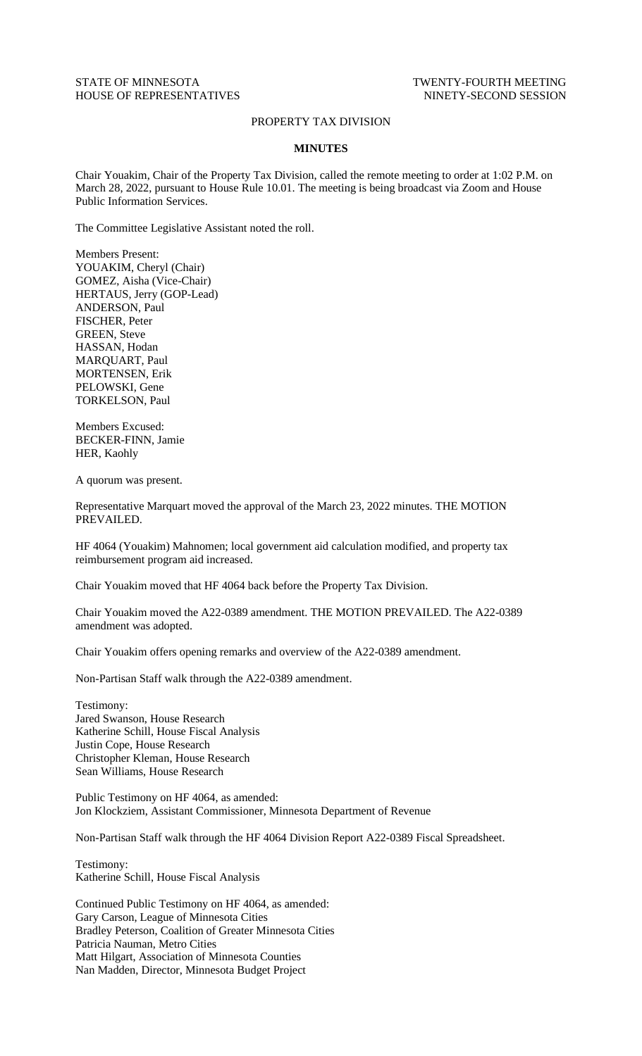## STATE OF MINNESOTA TWENTY-FOURTH MEETING HOUSE OF REPRESENTATIVES NINETY-SECOND SESSION

## PROPERTY TAX DIVISION

## **MINUTES**

Chair Youakim, Chair of the Property Tax Division, called the remote meeting to order at 1:02 P.M. on March 28, 2022, pursuant to House Rule 10.01. The meeting is being broadcast via Zoom and House Public Information Services.

The Committee Legislative Assistant noted the roll.

Members Present: YOUAKIM, Cheryl (Chair) GOMEZ, Aisha (Vice-Chair) HERTAUS, Jerry (GOP-Lead) ANDERSON, Paul FISCHER, Peter GREEN, Steve HASSAN, Hodan MARQUART, Paul MORTENSEN, Erik PELOWSKI, Gene TORKELSON, Paul

Members Excused: BECKER-FINN, Jamie HER, Kaohly

A quorum was present.

Representative Marquart moved the approval of the March 23, 2022 minutes. THE MOTION PREVAILED.

HF 4064 (Youakim) Mahnomen; local government aid calculation modified, and property tax reimbursement program aid increased.

Chair Youakim moved that HF 4064 back before the Property Tax Division.

Chair Youakim moved the A22-0389 amendment. THE MOTION PREVAILED. The A22-0389 amendment was adopted.

Chair Youakim offers opening remarks and overview of the A22-0389 amendment.

Non-Partisan Staff walk through the A22-0389 amendment.

Testimony: Jared Swanson, House Research Katherine Schill, House Fiscal Analysis Justin Cope, House Research Christopher Kleman, House Research Sean Williams, House Research

Public Testimony on HF 4064, as amended: Jon Klockziem, Assistant Commissioner, Minnesota Department of Revenue

Non-Partisan Staff walk through the HF 4064 Division Report A22-0389 Fiscal Spreadsheet.

Testimony: Katherine Schill, House Fiscal Analysis

Continued Public Testimony on HF 4064, as amended: Gary Carson, League of Minnesota Cities Bradley Peterson, Coalition of Greater Minnesota Cities Patricia Nauman, Metro Cities Matt Hilgart, Association of Minnesota Counties Nan Madden, Director, Minnesota Budget Project